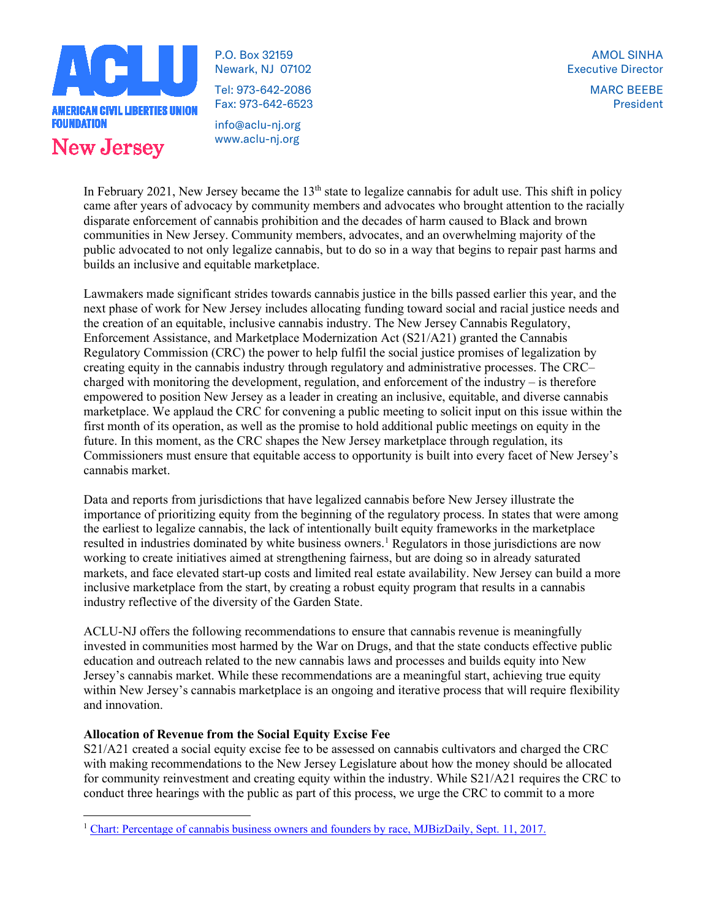

P.O. Box 32159 Newark, NJ 07102

Tel: 973-642-2086 Fax: 973-642-6523

info@aclu-nj.org www.aclu-nj.org

MARC BEEBE President

In February 2021, New Jersey became the 13<sup>th</sup> state to legalize cannabis for adult use. This shift in policy came after years of advocacy by community members and advocates who brought attention to the racially disparate enforcement of cannabis prohibition and the decades of harm caused to Black and brown communities in New Jersey. Community members, advocates, and an overwhelming majority of the public advocated to not only legalize cannabis, but to do so in a way that begins to repair past harms and builds an inclusive and equitable marketplace.

Lawmakers made significant strides towards cannabis justice in the bills passed earlier this year, and the next phase of work for New Jersey includes allocating funding toward social and racial justice needs and the creation of an equitable, inclusive cannabis industry. The New Jersey Cannabis Regulatory, Enforcement Assistance, and Marketplace Modernization Act (S21/A21) granted the Cannabis Regulatory Commission (CRC) the power to help fulfil the social justice promises of legalization by creating equity in the cannabis industry through regulatory and administrative processes. The CRC– charged with monitoring the development, regulation, and enforcement of the industry  $-$  is therefore empowered to position New Jersey as a leader in creating an inclusive, equitable, and diverse cannabis marketplace. We applaud the CRC for convening a public meeting to solicit input on this issue within the first month of its operation, as well as the promise to hold additional public meetings on equity in the future. In this moment, as the CRC shapes the New Jersey marketplace through regulation, its Commissioners must ensure that equitable access to opportunity is built into every facet of New Jersey's cannabis market.

Data and reports from jurisdictions that have legalized cannabis before New Jersey illustrate the importance of prioritizing equity from the beginning of the regulatory process. In states that were among the earliest to legalize cannabis, the lack of intentionally built equity frameworks in the marketplace resulted in industries dominated by white business owners.<sup>[1](#page-0-0)</sup> Regulators in those jurisdictions are now working to create initiatives aimed at strengthening fairness, but are doing so in already saturated markets, and face elevated start-up costs and limited real estate availability. New Jersey can build a more inclusive marketplace from the start, by creating a robust equity program that results in a cannabis industry reflective of the diversity of the Garden State.

ACLU-NJ offers the following recommendations to ensure that cannabis revenue is meaningfully invested in communities most harmed by the War on Drugs, and that the state conducts effective public education and outreach related to the new cannabis laws and processes and builds equity into New Jersey's cannabis market. While these recommendations are a meaningful start, achieving true equity within New Jersey's cannabis marketplace is an ongoing and iterative process that will require flexibility and innovation.

### **Allocation of Revenue from the Social Equity Excise Fee**

S21/A21 created a social equity excise fee to be assessed on cannabis cultivators and charged the CRC with making recommendations to the New Jersey Legislature about how the money should be allocated for community reinvestment and creating equity within the industry. While S21/A21 requires the CRC to conduct three hearings with the public as part of this process, we urge the CRC to commit to a more

<span id="page-0-0"></span><sup>1</sup> [Chart: Percentage of cannabis business owners and founders by race, MJBizDaily, Sept. 11, 2017.](https://mjbizdaily.com/chart-19-cannabis-businesses-owned-founded-racial-minorities/)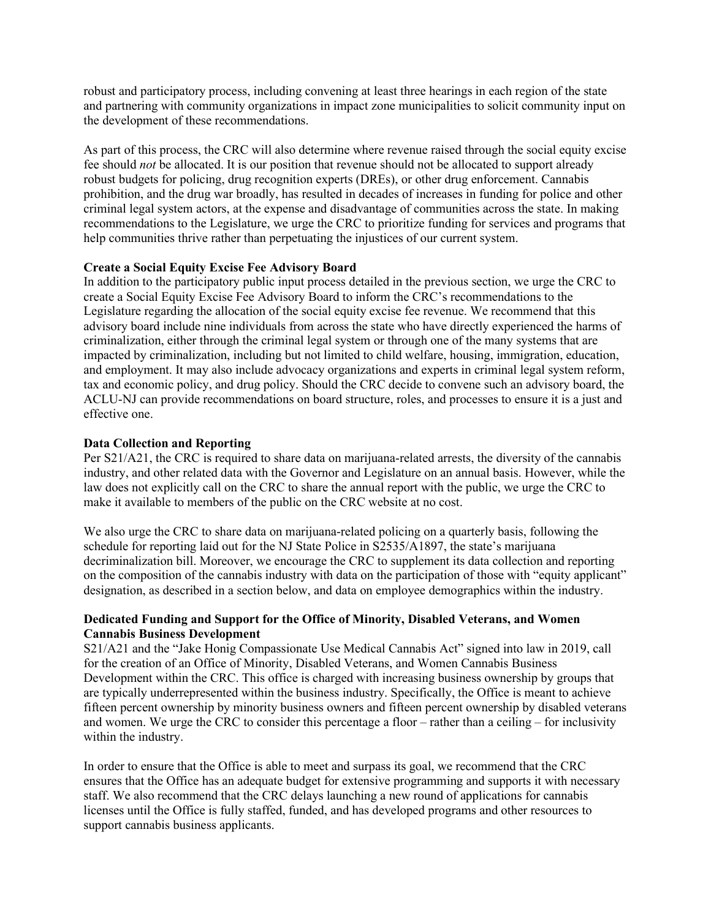robust and participatory process, including convening at least three hearings in each region of the state and partnering with community organizations in impact zone municipalities to solicit community input on the development of these recommendations.

As part of this process, the CRC will also determine where revenue raised through the social equity excise fee should *not* be allocated. It is our position that revenue should not be allocated to support already robust budgets for policing, drug recognition experts (DREs), or other drug enforcement. Cannabis prohibition, and the drug war broadly, has resulted in decades of increases in funding for police and other criminal legal system actors, at the expense and disadvantage of communities across the state. In making recommendations to the Legislature, we urge the CRC to prioritize funding for services and programs that help communities thrive rather than perpetuating the injustices of our current system.

### **Create a Social Equity Excise Fee Advisory Board**

In addition to the participatory public input process detailed in the previous section, we urge the CRC to create a Social Equity Excise Fee Advisory Board to inform the CRC's recommendations to the Legislature regarding the allocation of the social equity excise fee revenue. We recommend that this advisory board include nine individuals from across the state who have directly experienced the harms of criminalization, either through the criminal legal system or through one of the many systems that are impacted by criminalization, including but not limited to child welfare, housing, immigration, education, and employment. It may also include advocacy organizations and experts in criminal legal system reform, tax and economic policy, and drug policy. Should the CRC decide to convene such an advisory board, the ACLU-NJ can provide recommendations on board structure, roles, and processes to ensure it is a just and effective one.

### **Data Collection and Reporting**

Per S21/A21, the CRC is required to share data on marijuana-related arrests, the diversity of the cannabis industry, and other related data with the Governor and Legislature on an annual basis. However, while the law does not explicitly call on the CRC to share the annual report with the public, we urge the CRC to make it available to members of the public on the CRC website at no cost.

We also urge the CRC to share data on marijuana-related policing on a quarterly basis, following the schedule for reporting laid out for the NJ State Police in S2535/A1897, the state's marijuana decriminalization bill. Moreover, we encourage the CRC to supplement its data collection and reporting on the composition of the cannabis industry with data on the participation of those with "equity applicant" designation, as described in a section below, and data on employee demographics within the industry.

### **Dedicated Funding and Support for the Office of Minority, Disabled Veterans, and Women Cannabis Business Development**

S21/A21 and the "Jake Honig Compassionate Use Medical Cannabis Act" signed into law in 2019, call for the creation of an Office of Minority, Disabled Veterans, and Women Cannabis Business Development within the CRC. This office is charged with increasing business ownership by groups that are typically underrepresented within the business industry. Specifically, the Office is meant to achieve fifteen percent ownership by minority business owners and fifteen percent ownership by disabled veterans and women. We urge the CRC to consider this percentage a floor – rather than a ceiling – for inclusivity within the industry.

In order to ensure that the Office is able to meet and surpass its goal, we recommend that the CRC ensures that the Office has an adequate budget for extensive programming and supports it with necessary staff. We also recommend that the CRC delays launching a new round of applications for cannabis licenses until the Office is fully staffed, funded, and has developed programs and other resources to support cannabis business applicants.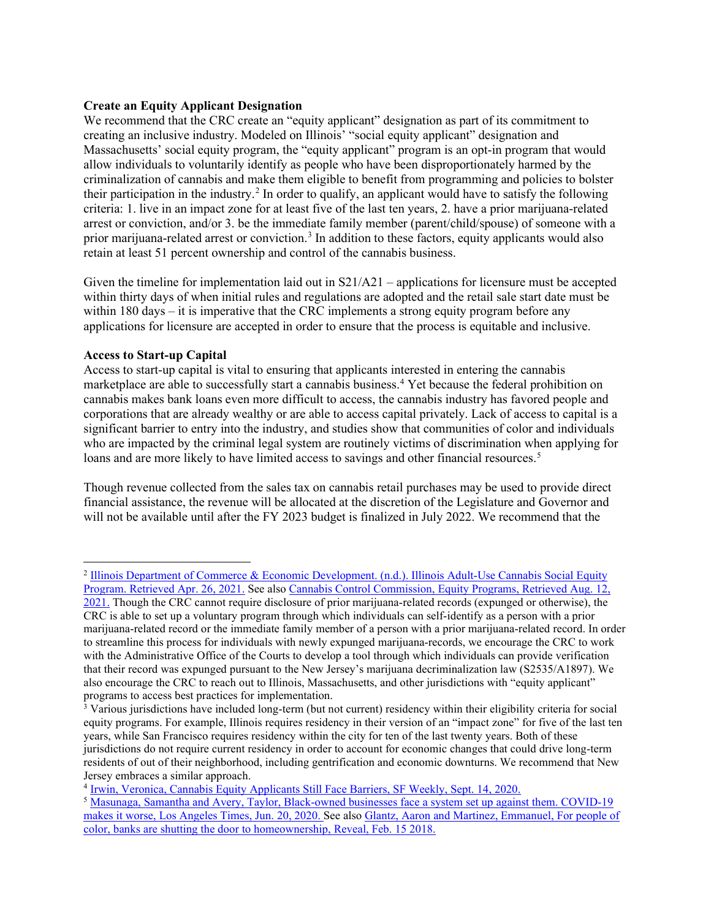### **Create an Equity Applicant Designation**

We recommend that the CRC create an "equity applicant" designation as part of its commitment to creating an inclusive industry. Modeled on Illinois' "social equity applicant" designation and Massachusetts' social equity program, the "equity applicant" program is an opt-in program that would allow individuals to voluntarily identify as people who have been disproportionately harmed by the criminalization of cannabis and make them eligible to benefit from programming and policies to bolster their participation in the industry.[2](#page-2-0) In order to qualify, an applicant would have to satisfy the following criteria: 1. live in an impact zone for at least five of the last ten years, 2. have a prior marijuana-related arrest or conviction, and/or 3. be the immediate family member (parent/child/spouse) of someone with a prior marijuana-related arrest or conviction.[3](#page-2-1) In addition to these factors, equity applicants would also retain at least 51 percent ownership and control of the cannabis business.

Given the timeline for implementation laid out in  $S21/A21$  – applications for licensure must be accepted within thirty days of when initial rules and regulations are adopted and the retail sale start date must be within 180 days – it is imperative that the CRC implements a strong equity program before any applications for licensure are accepted in order to ensure that the process is equitable and inclusive.

#### **Access to Start-up Capital**

Access to start-up capital is vital to ensuring that applicants interested in entering the cannabis marketplace are able to successfully start a cannabis business.[4](#page-2-2) Yet because the federal prohibition on cannabis makes bank loans even more difficult to access, the cannabis industry has favored people and corporations that are already wealthy or are able to access capital privately. Lack of access to capital is a significant barrier to entry into the industry, and studies show that communities of color and individuals who are impacted by the criminal legal system are routinely victims of discrimination when applying for loans and are more likely to have limited access to savings and other financial resources.<sup>[5](#page-2-3)</sup>

Though revenue collected from the sales tax on cannabis retail purchases may be used to provide direct financial assistance, the revenue will be allocated at the discretion of the Legislature and Governor and will not be available until after the FY 2023 budget is finalized in July 2022. We recommend that the

<span id="page-2-0"></span><sup>2</sup> [Illinois Department of Commerce & Economic Development. \(n.d.\). Illinois Adult-Use Cannabis Social Equity](https://www2.illinois.gov/dceo/CannabisEquity/Pages/default.aspx)  [Program. Retrieved Apr. 26, 2021.](https://www2.illinois.gov/dceo/CannabisEquity/Pages/default.aspx) See also [Cannabis Control Commission, Equity Programs, Retrieved Aug. 12,](https://masscannabiscontrol.com/equity-programs/) 

[<sup>2021.</sup>](https://masscannabiscontrol.com/equity-programs/) Though the CRC cannot require disclosure of prior marijuana-related records (expunged or otherwise), the CRC is able to set up a voluntary program through which individuals can self-identify as a person with a prior marijuana-related record or the immediate family member of a person with a prior marijuana-related record. In order to streamline this process for individuals with newly expunged marijuana-records, we encourage the CRC to work with the Administrative Office of the Courts to develop a tool through which individuals can provide verification that their record was expunged pursuant to the New Jersey's marijuana decriminalization law (S2535/A1897). We also encourage the CRC to reach out to Illinois, Massachusetts, and other jurisdictions with "equity applicant" programs to access best practices for implementation.

<span id="page-2-1"></span><sup>&</sup>lt;sup>3</sup> Various jurisdictions have included long-term (but not current) residency within their eligibility criteria for social equity programs. For example, Illinois requires residency in their version of an "impact zone" for five of the last ten years, while San Francisco requires residency within the city for ten of the last twenty years. Both of these jurisdictions do not require current residency in order to account for economic changes that could drive long-term residents of out of their neighborhood, including gentrification and economic downturns. We recommend that New Jersey embraces a similar approach.

<span id="page-2-2"></span><sup>4</sup> [Irwin, Veronica, Cannabis Equity Applicants Still Face Barriers, SF Weekly, Sept. 14, 2020.](https://www.sfweekly.com/culture/cannabis-culture/cannabis-equity-applicants-still-face-barriers/)

<span id="page-2-3"></span><sup>5</sup> [Masunaga, Samantha and Avery, Taylor, Black-owned businesses face a system set up against them. COVID-19](https://www.latimes.com/business/story/2020-06-20/black-owned-business-loans-banks)  [makes it worse, Los Angeles Times, Jun. 20, 2020.](https://www.latimes.com/business/story/2020-06-20/black-owned-business-loans-banks) See also [Glantz, Aaron and Martinez, Emmanuel, For people of](https://revealnews.org/article/for-people-of-color-banks-are-shutting-the-door-to-homeownership/)  [color, banks are shutting the door to homeownership, Reveal, Feb. 15 2018.](https://revealnews.org/article/for-people-of-color-banks-are-shutting-the-door-to-homeownership/)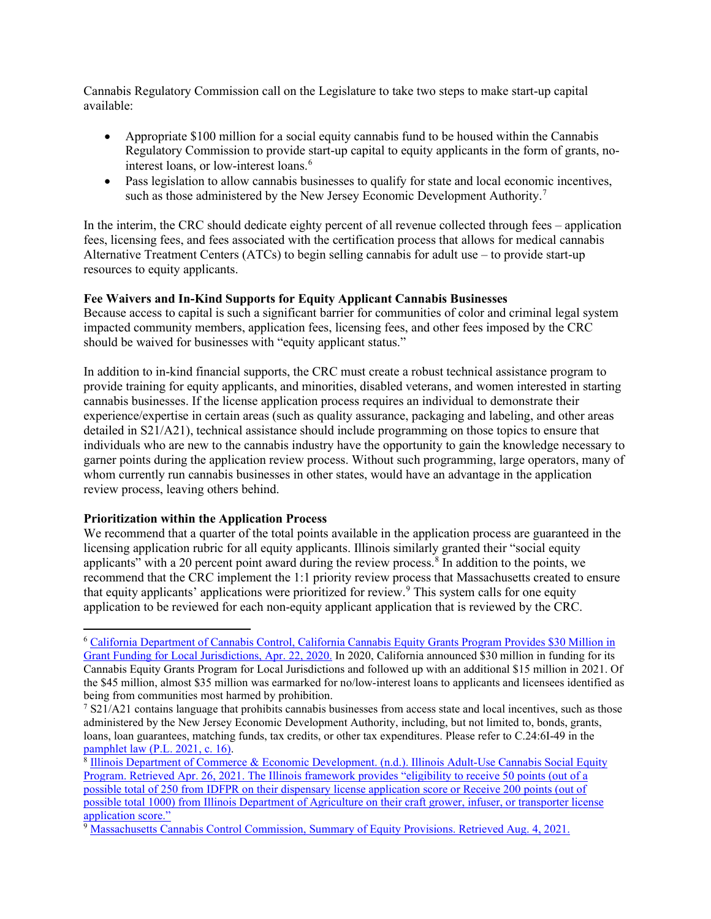Cannabis Regulatory Commission call on the Legislature to take two steps to make start-up capital available:

- Appropriate \$100 million for a social equity cannabis fund to be housed within the Cannabis Regulatory Commission to provide start-up capital to equity applicants in the form of grants, no-interest loans, or low-interest loans.<sup>[6](#page-3-0)</sup>
- Pass legislation to allow cannabis businesses to qualify for state and local economic incentives, such as those administered by the New Jersey Economic Development Authority.<sup>[7](#page-3-1)</sup>

In the interim, the CRC should dedicate eighty percent of all revenue collected through fees – application fees, licensing fees, and fees associated with the certification process that allows for medical cannabis Alternative Treatment Centers (ATCs) to begin selling cannabis for adult use – to provide start-up resources to equity applicants.

### **Fee Waivers and In-Kind Supports for Equity Applicant Cannabis Businesses**

Because access to capital is such a significant barrier for communities of color and criminal legal system impacted community members, application fees, licensing fees, and other fees imposed by the CRC should be waived for businesses with "equity applicant status."

In addition to in-kind financial supports, the CRC must create a robust technical assistance program to provide training for equity applicants, and minorities, disabled veterans, and women interested in starting cannabis businesses. If the license application process requires an individual to demonstrate their experience/expertise in certain areas (such as quality assurance, packaging and labeling, and other areas detailed in S21/A21), technical assistance should include programming on those topics to ensure that individuals who are new to the cannabis industry have the opportunity to gain the knowledge necessary to garner points during the application review process. Without such programming, large operators, many of whom currently run cannabis businesses in other states, would have an advantage in the application review process, leaving others behind.

### **Prioritization within the Application Process**

We recommend that a quarter of the total points available in the application process are guaranteed in the licensing application rubric for all equity applicants. Illinois similarly granted their "social equity applicants" with a 20 percent point award during the review process.<sup>[8](#page-3-2)</sup> In addition to the points, we recommend that the CRC implement the 1:1 priority review process that Massachusetts created to ensure that equity applicants' applications were prioritized for review.<sup>[9](#page-3-3)</sup> This system calls for one equity application to be reviewed for each non-equity applicant application that is reviewed by the CRC.

<span id="page-3-0"></span><sup>6</sup> [California Department of Cannabis Control, California Cannabis Equity Grants Program Provides \\$30 Million in](https://cannabis.ca.gov/2020/04/22/california-cannabis-equity-grants-program-provides-30-million-in-grant-funding-for-local-jurisdictions/)  [Grant Funding for Local Jurisdictions, Apr. 22, 2020.](https://cannabis.ca.gov/2020/04/22/california-cannabis-equity-grants-program-provides-30-million-in-grant-funding-for-local-jurisdictions/) In 2020, California announced \$30 million in funding for its Cannabis Equity Grants Program for Local Jurisdictions and followed up with an additional \$15 million in 2021. Of the \$45 million, almost \$35 million was earmarked for no/low-interest loans to applicants and licensees identified as being from communities most harmed by prohibition.

<span id="page-3-1"></span><sup>&</sup>lt;sup>7</sup> S21/A21 contains language that prohibits cannabis businesses from access state and local incentives, such as those administered by the New Jersey Economic Development Authority, including, but not limited to, bonds, grants, loans, loan guarantees, matching funds, tax credits, or other tax expenditures. Please refer to C.24:6I-49 in the [pamphlet law \(P.L. 2021, c. 16\).](https://www.njleg.state.nj.us/2020/Bills/PL21/16_.PDF)<br><sup>8</sup> Illinois Department of Commerce & Economic Development. (n.d.). Illinois Adult-Use Cannabis Social Equity

<span id="page-3-2"></span>[Program. Retrieved Apr. 26, 2021.](https://www2.illinois.gov/dceo/CannabisEquity/Pages/default.aspx) The Illinois framework provides "eligibility to receive 50 points (out of a possible total of 250 from IDFPR on their dispensary license application score or Receive 200 points (out of possible total 1000) from Illinois Department of Agriculture on their craft grower, infuser, or transporter license application score."

<span id="page-3-3"></span><sup>&</sup>lt;sup>9</sup> [Massachusetts Cannabis Control Commission, Summary of Equity Provisions. Retrieved Aug. 4, 2021.](https://mass-cannabis-control.com/wp-content/uploads/2018/03/UPDATED-Guidance-Summary-of-Equity-Provisions-with-6th-criterion-added-1.pdf)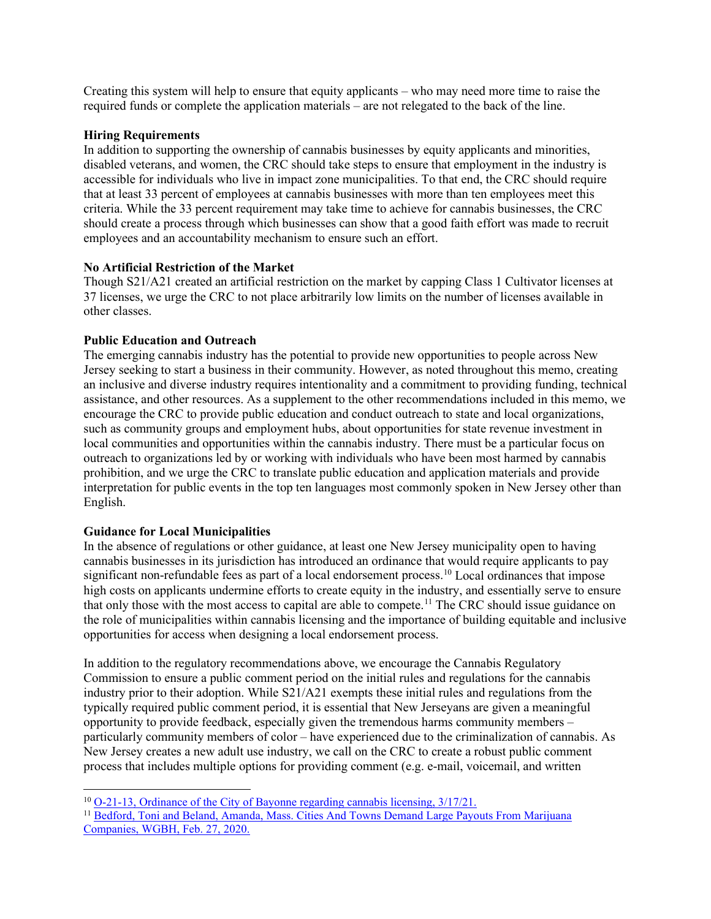Creating this system will help to ensure that equity applicants – who may need more time to raise the required funds or complete the application materials – are not relegated to the back of the line.

### **Hiring Requirements**

In addition to supporting the ownership of cannabis businesses by equity applicants and minorities, disabled veterans, and women, the CRC should take steps to ensure that employment in the industry is accessible for individuals who live in impact zone municipalities. To that end, the CRC should require that at least 33 percent of employees at cannabis businesses with more than ten employees meet this criteria. While the 33 percent requirement may take time to achieve for cannabis businesses, the CRC should create a process through which businesses can show that a good faith effort was made to recruit employees and an accountability mechanism to ensure such an effort.

### **No Artificial Restriction of the Market**

Though S21/A21 created an artificial restriction on the market by capping Class 1 Cultivator licenses at 37 licenses, we urge the CRC to not place arbitrarily low limits on the number of licenses available in other classes.

# **Public Education and Outreach**

The emerging cannabis industry has the potential to provide new opportunities to people across New Jersey seeking to start a business in their community. However, as noted throughout this memo, creating an inclusive and diverse industry requires intentionality and a commitment to providing funding, technical assistance, and other resources. As a supplement to the other recommendations included in this memo, we encourage the CRC to provide public education and conduct outreach to state and local organizations, such as community groups and employment hubs, about opportunities for state revenue investment in local communities and opportunities within the cannabis industry. There must be a particular focus on outreach to organizations led by or working with individuals who have been most harmed by cannabis prohibition, and we urge the CRC to translate public education and application materials and provide interpretation for public events in the top ten languages most commonly spoken in New Jersey other than English.

# **Guidance for Local Municipalities**

In the absence of regulations or other guidance, at least one New Jersey municipality open to having cannabis businesses in its jurisdiction has introduced an ordinance that would require applicants to pay significant non-refundable fees as part of a local endorsement process.<sup>[10](#page-4-0)</sup> Local ordinances that impose high costs on applicants undermine efforts to create equity in the industry, and essentially serve to ensure that only those with the most access to capital are able to compete.<sup>[11](#page-4-1)</sup> The CRC should issue guidance on the role of municipalities within cannabis licensing and the importance of building equitable and inclusive opportunities for access when designing a local endorsement process.

In addition to the regulatory recommendations above, we encourage the Cannabis Regulatory Commission to ensure a public comment period on the initial rules and regulations for the cannabis industry prior to their adoption. While S21/A21 exempts these initial rules and regulations from the typically required public comment period, it is essential that New Jerseyans are given a meaningful opportunity to provide feedback, especially given the tremendous harms community members – particularly community members of color – have experienced due to the criminalization of cannabis. As New Jersey creates a new adult use industry, we call on the CRC to create a robust public comment process that includes multiple options for providing comment (e.g. e-mail, voicemail, and written

<sup>10</sup> [O-21-13, Ordinance of the City of Bayonne regarding cannabis licensing, 3/17/21.](https://www.bayonnenj.org/_Content/pdf/ordinances/O-21-13.pdf)

<span id="page-4-1"></span><span id="page-4-0"></span><sup>&</sup>lt;sup>11</sup> Bedford, Toni and Beland, Amanda, Mass. Cities And Towns Demand Large Payouts From Marijuana [Companies, WGBH, Feb. 27, 2020.](https://www.wgbh.org/news/local-news/2020/02/27/mass-cities-and-towns-demand-large-payouts-from-marijuana-companies)